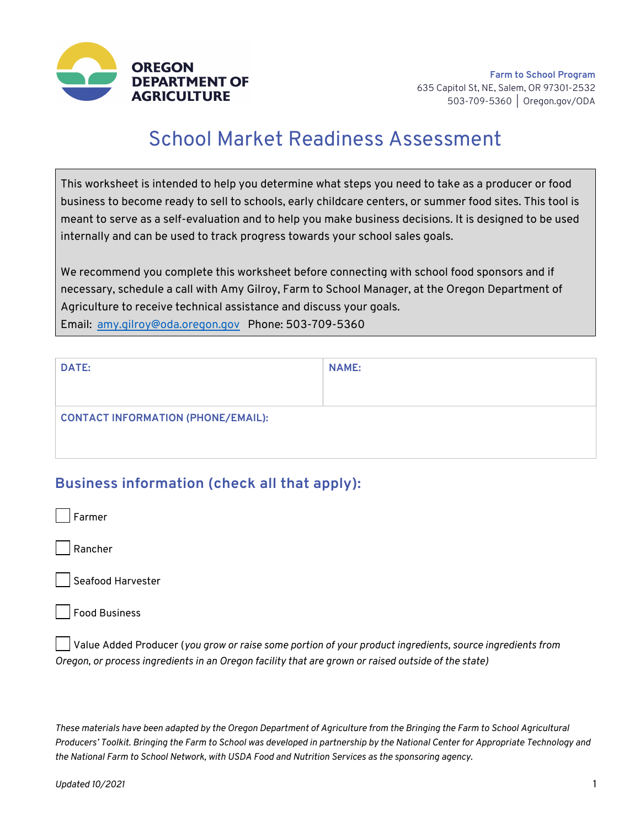

# School Market Readiness Assessment

This worksheet is intended to help you determine what steps you need to take as a producer or food business to become ready to sell to schools, early childcare centers, or summer food sites. This tool is meant to serve as a self-evaluation and to help you make business decisions. It is designed to be used internally and can be used to track progress towards your school sales goals.

We recommend you complete this worksheet before connecting with school food sponsors and if necessary, schedule a call with Amy Gilroy, Farm to School Manager, at the Oregon Department of Agriculture to receive technical assistance and discuss your goals. Email: amy.gilroy@oda.oregon.gov Phone: 503-709-5360

| <b>DATE:</b>                              | <b>NAME:</b> |
|-------------------------------------------|--------------|
|                                           |              |
| <b>CONTACT INFORMATION (PHONE/EMAIL):</b> |              |
|                                           |              |

## **Business information (check all that apply):**

Rancher

Seafood Harvester

Food Business

Value Added Producer (*you grow or raise some portion of your product ingredients, source ingredients from Oregon, or process ingredients in an Oregon facility that are grown or raised outside of the state)*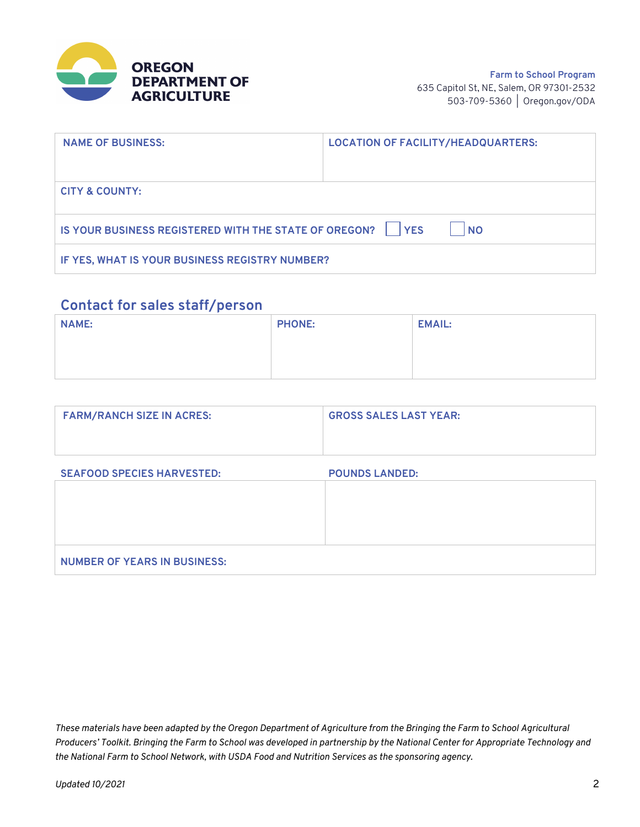

| <b>NAME OF BUSINESS:</b>                                                 | <b>LOCATION OF FACILITY/HEADQUARTERS:</b> |  |  |  |  |
|--------------------------------------------------------------------------|-------------------------------------------|--|--|--|--|
|                                                                          |                                           |  |  |  |  |
| <b>CITY &amp; COUNTY:</b>                                                |                                           |  |  |  |  |
| IS YOUR BUSINESS REGISTERED WITH THE STATE OF OREGON?   YES<br><b>NO</b> |                                           |  |  |  |  |
| IF YES, WHAT IS YOUR BUSINESS REGISTRY NUMBER?                           |                                           |  |  |  |  |

#### **Contact for sales staff/person**

| <b>NAME:</b> | <b>PHONE:</b> | <b>EMAIL:</b> |
|--------------|---------------|---------------|
|              |               |               |
|              |               |               |

| <b>FARM/RANCH SIZE IN ACRES:</b> | <b>GROSS SALES LAST YEAR:</b> |  |  |
|----------------------------------|-------------------------------|--|--|
|                                  |                               |  |  |

| <b>SEAFOOD SPECIES HARVESTED:</b>   | <b>POUNDS LANDED:</b> |
|-------------------------------------|-----------------------|
|                                     |                       |
|                                     |                       |
|                                     |                       |
|                                     |                       |
| <b>NUMBER OF YEARS IN BUSINESS:</b> |                       |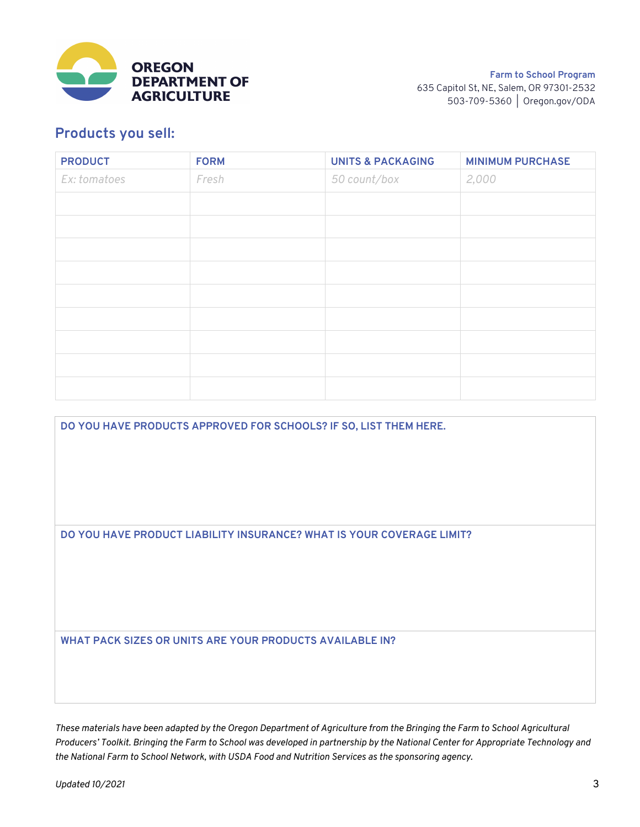

#### **Products you sell:**

| <b>PRODUCT</b> | <b>FORM</b> | <b>UNITS &amp; PACKAGING</b> | <b>MINIMUM PURCHASE</b> |
|----------------|-------------|------------------------------|-------------------------|
| Ex: tomatoes   | Fresh       | 50 count/box                 | 2,000                   |
|                |             |                              |                         |
|                |             |                              |                         |
|                |             |                              |                         |
|                |             |                              |                         |
|                |             |                              |                         |
|                |             |                              |                         |
|                |             |                              |                         |
|                |             |                              |                         |
|                |             |                              |                         |

**DO YOU HAVE PRODUCTS APPROVED FOR SCHOOLS? IF SO, LIST THEM HERE. DO YOU HAVE PRODUCT LIABILITY INSURANCE? WHAT IS YOUR COVERAGE LIMIT? WHAT PACK SIZES OR UNITS ARE YOUR PRODUCTS AVAILABLE IN?**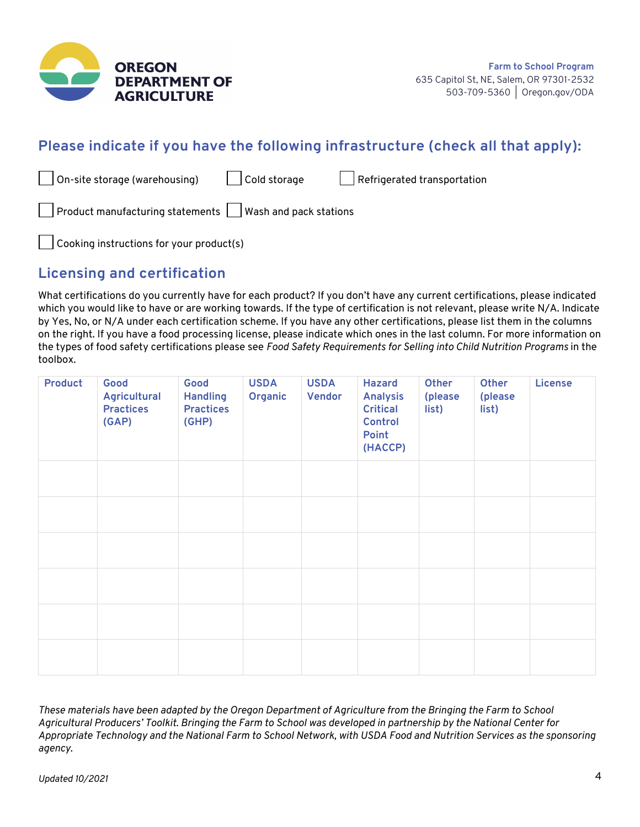

### **Please indicate if you have the following infrastructure (check all that apply):**

| $\vert$ $\vert$ On-site storage (warehousing)                           | $\vert$ $\vert$ Cold storage | Refrigerated transportation |
|-------------------------------------------------------------------------|------------------------------|-----------------------------|
| $\vert$ Product manufacturing statements $\vert$ Wash and pack stations |                              |                             |
| $\vert$ $\vert$ Cooking instructions for your product(s)                |                              |                             |

**Licensing and certification**

What certifications do you currently have for each product? If you don't have any current certifications, please indicated which you would like to have or are working towards. If the type of certification is not relevant, please write N/A. Indicate by Yes, No, or N/A under each certification scheme. If you have any other certifications, please list them in the columns on the right. If you have a food processing license, please indicate which ones in the last column. For more information on the types of food safety certifications please see *Food Safety Requirements for Selling into Child Nutrition Programs* in the toolbox.

| <b>Product</b> | Good<br><b>Agricultural</b><br><b>Practices</b><br>(GAP) | Good<br><b>Handling</b><br><b>Practices</b><br>(GHP) | <b>USDA</b><br>Organic | <b>USDA</b><br><b>Vendor</b> | <b>Hazard</b><br><b>Analysis</b><br><b>Critical</b><br><b>Control</b><br>Point<br>(HACCP) | Other<br>(please<br>list) | Other<br>(please<br>list) | <b>License</b> |
|----------------|----------------------------------------------------------|------------------------------------------------------|------------------------|------------------------------|-------------------------------------------------------------------------------------------|---------------------------|---------------------------|----------------|
|                |                                                          |                                                      |                        |                              |                                                                                           |                           |                           |                |
|                |                                                          |                                                      |                        |                              |                                                                                           |                           |                           |                |
|                |                                                          |                                                      |                        |                              |                                                                                           |                           |                           |                |
|                |                                                          |                                                      |                        |                              |                                                                                           |                           |                           |                |
|                |                                                          |                                                      |                        |                              |                                                                                           |                           |                           |                |
|                |                                                          |                                                      |                        |                              |                                                                                           |                           |                           |                |